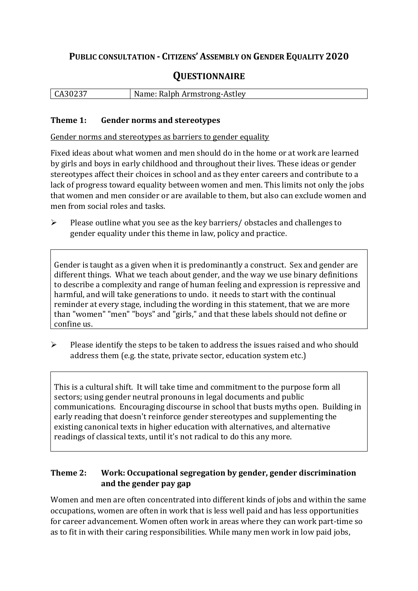# **PUBLIC CONSULTATION - CITIZENS' ASSEMBLY ON GENDER EQUALITY 2020**

# **QUESTIONNAIRE**

| CA30237 | Name: Ralph Armstrong-Astley |
|---------|------------------------------|
|         |                              |

#### **Theme 1: Gender norms and stereotypes**

Gender norms and stereotypes as barriers to gender equality

Fixed ideas about what women and men should do in the home or at work are learned by girls and boys in early childhood and throughout their lives. These ideas or gender stereotypes affect their choices in school and as they enter careers and contribute to a lack of progress toward equality between women and men. This limits not only the jobs that women and men consider or are available to them, but also can exclude women and men from social roles and tasks.

 $\triangleright$  Please outline what you see as the key barriers/ obstacles and challenges to gender equality under this theme in law, policy and practice.

Gender is taught as a given when it is predominantly a construct. Sex and gender are different things. What we teach about gender, and the way we use binary definitions to describe a complexity and range of human feeling and expression is repressive and harmful, and will take generations to undo. it needs to start with the continual reminder at every stage, including the wording in this statement, that we are more than "women" "men" "boys" and "girls," and that these labels should not define or confine us.

 $\triangleright$  Please identify the steps to be taken to address the issues raised and who should address them (e.g. the state, private sector, education system etc.)

This is a cultural shift. It will take time and commitment to the purpose form all sectors; using gender neutral pronouns in legal documents and public communications. Encouraging discourse in school that busts myths open. Building in early reading that doesn't reinforce gender stereotypes and supplementing the existing canonical texts in higher education with alternatives, and alternative readings of classical texts, until it's not radical to do this any more.

## **Theme 2: Work: Occupational segregation by gender, gender discrimination and the gender pay gap**

Women and men are often concentrated into different kinds of jobs and within the same occupations, women are often in work that is less well paid and has less opportunities for career advancement. Women often work in areas where they can work part-time so as to fit in with their caring responsibilities. While many men work in low paid jobs,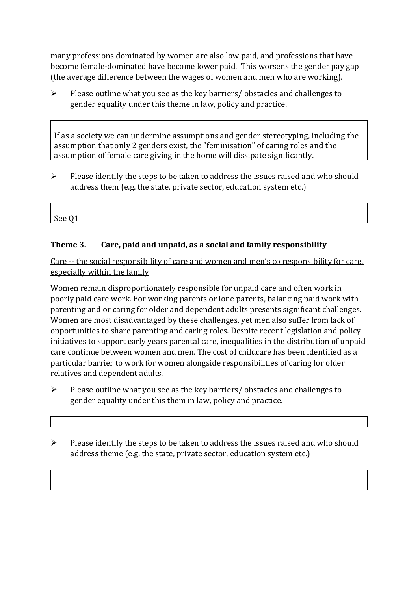many professions dominated by women are also low paid, and professions that have become female-dominated have become lower paid. This worsens the gender pay gap (the average difference between the wages of women and men who are working).

 $\triangleright$  Please outline what you see as the key barriers/ obstacles and challenges to gender equality under this theme in law, policy and practice.

If as a society we can undermine assumptions and gender stereotyping, including the assumption that only 2 genders exist, the "feminisation" of caring roles and the assumption of female care giving in the home will dissipate significantly.

 $\triangleright$  Please identify the steps to be taken to address the issues raised and who should address them (e.g. the state, private sector, education system etc.)

See Q1

### **Theme 3. Care, paid and unpaid, as a social and family responsibility**

Care -- the social responsibility of care and women and men's co responsibility for care, especially within the family

Women remain disproportionately responsible for unpaid care and often work in poorly paid care work. For working parents or [lone parents,](https://aran.library.nuigalway.ie/bitstream/handle/10379/6044/Millar_and_Crosse_Activation_Report.pdf?sequence=1&isAllowed=y) balancing paid work with parenting and or caring for older and dependent adults presents significant challenges. Women are [most disadvantaged by these challenges,](https://eige.europa.eu/gender-equality-index/game/IE/W) yet men also suffer from lack of opportunities to share parenting and caring roles. Despite recent legislation and policy initiatives to support early years parental care, [inequalities in the distribution of unpaid](https://www.ihrec.ie/app/uploads/2019/07/Caring-and-Unpaid-Work-in-Ireland_Final.pdf)  [care](https://www.ihrec.ie/app/uploads/2019/07/Caring-and-Unpaid-Work-in-Ireland_Final.pdf) continue between women and men. The cost of childcare has been identified as a particular barrier to work for women alongside responsibilities of caring for older relatives and dependent adults.

- $\triangleright$  Please outline what you see as the key barriers/ obstacles and challenges to gender equality under this them in law, policy and practice.
- $\triangleright$  Please identify the steps to be taken to address the issues raised and who should address theme (e.g. the state, private sector, education system etc.)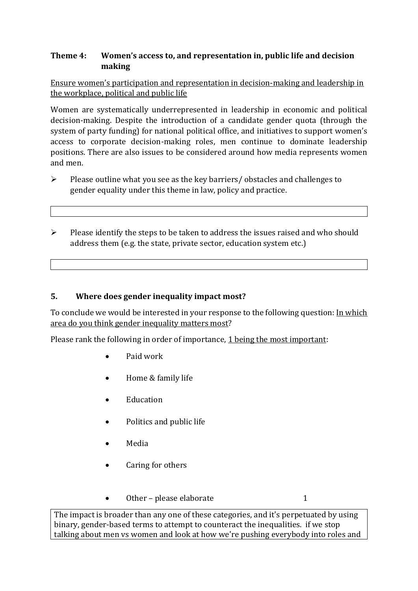## **Theme 4: Women's access to, and representation in, public life and decision making**

Ensure women's participation and representation in decision-making and leadership in the workplace, political and public life

Women are systematically underrepresented in leadership in [economic](https://eige.europa.eu/gender-equality-index/2019/compare-countries/power/2/bar) and [political](https://eige.europa.eu/gender-equality-index/2019/compare-countries/power/1/bar)  [decision-](https://eige.europa.eu/gender-equality-index/2019/compare-countries/power/1/bar)making. Despite the introduction of a candidate gender quota (through the system of party funding) for national political office, and [initiatives](https://betterbalance.ie/) to support women's access to corporate decision-making roles, men continue to dominate leadership positions. There are also issues to be considered around how media represents women and men.

- $\triangleright$  Please outline what you see as the key barriers/ obstacles and challenges to gender equality under this theme in law, policy and practice.
- $\triangleright$  Please identify the steps to be taken to address the issues raised and who should address them (e.g. the state, private sector, education system etc.)

### **5. Where does gender inequality impact most?**

To conclude we would be interested in your response to the following question: In which area do you think gender inequality matters most?

Please rank the following in order of importance, 1 being the most important:

- Paid work
- Home & family life
- **•** Education
- Politics and public life
- Media
- Caring for others
- $\bullet$  Other please elaborate 1

The impact is broader than any one of these categories, and it's perpetuated by using binary, gender-based terms to attempt to counteract the inequalities. if we stop talking about men vs women and look at how we're pushing everybody into roles and